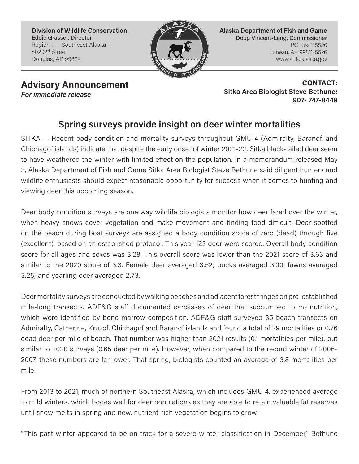**Division of Wildlife Conservation** Eddie Grasser, Director Region I — Southeast Alaska 802 3rd Street Douglas, AK 99824



**Alaska Department of Fish and Game** Doug Vincent-Lang, Commissioner PO Box 115526 Juneau, AK 99811-5526 www.adfg.alaska.gov

*For immediate release*

**Advisory Announcement CONTACT: CONTACT: Sitka Area Biologist Steve Bethune: 907- 747-8449**

## **Spring surveys provide insight on deer winter mortalities**

SITKA — Recent body condition and mortality surveys throughout GMU 4 (Admiralty, Baranof, and Chichagof islands) indicate that despite the early onset of winter 2021-22, Sitka black-tailed deer seem to have weathered the winter with limited effect on the population. In a memorandum released May 3, Alaska Department of Fish and Game Sitka Area Biologist Steve Bethune said diligent hunters and wildlife enthusiasts should expect reasonable opportunity for success when it comes to hunting and viewing deer this upcoming season.

Deer body condition surveys are one way wildlife biologists monitor how deer fared over the winter, when heavy snows cover vegetation and make movement and finding food difficult. Deer spotted on the beach during boat surveys are assigned a body condition score of zero (dead) through five (excellent), based on an established protocol. This year 123 deer were scored. Overall body condition score for all ages and sexes was 3.28. This overall score was lower than the 2021 score of 3.63 and similar to the 2020 score of 3.3. Female deer averaged 3.52; bucks averaged 3.00; fawns averaged 3.25; and yearling deer averaged 2.73.

Deer mortality surveys are conducted by walking beaches and adjacent forest fringes on pre-established mile-long transects. ADF&G staff documented carcasses of deer that succumbed to malnutrition, which were identified by bone marrow composition. ADF&G staff surveyed 35 beach transects on Admiralty, Catherine, Kruzof, Chichagof and Baranof islands and found a total of 29 mortalities or 0.76 dead deer per mile of beach. That number was higher than 2021 results (0.1 mortalities per mile), but similar to 2020 surveys (0.65 deer per mile). However, when compared to the record winter of 2006- 2007, these numbers are far lower. That spring, biologists counted an average of 3.8 mortalities per mile.

From 2013 to 2021, much of northern Southeast Alaska, which includes GMU 4, experienced average to mild winters, which bodes well for deer populations as they are able to retain valuable fat reserves until snow melts in spring and new, nutrient-rich vegetation begins to grow.

"This past winter appeared to be on track for a severe winter classification in December," Bethune